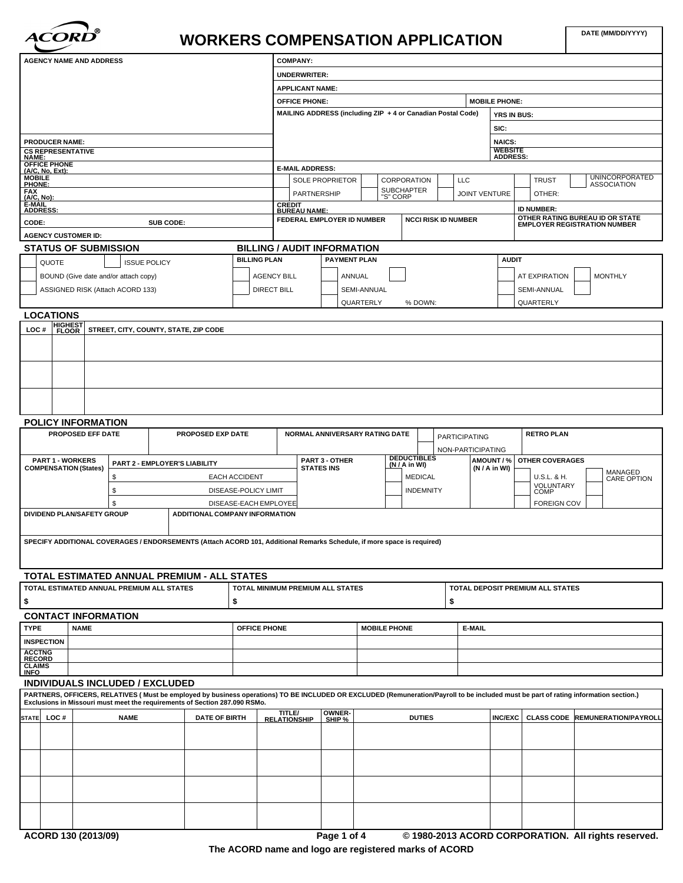

# **DATE (MM/DD/YYYY) WORKERS COMPENSATION APPLICATION**

| <b>AGENCY NAME AND ADDRESS</b>                          |             |                                                                                                                                                                                      |                      |                       | <b>COMPANY:</b>                                   |                                     |                                                             |                    |    |                             |                      |                                                      |                                                     |
|---------------------------------------------------------|-------------|--------------------------------------------------------------------------------------------------------------------------------------------------------------------------------------|----------------------|-----------------------|---------------------------------------------------|-------------------------------------|-------------------------------------------------------------|--------------------|----|-----------------------------|----------------------|------------------------------------------------------|-----------------------------------------------------|
|                                                         |             |                                                                                                                                                                                      |                      |                       | <b>UNDERWRITER:</b>                               |                                     |                                                             |                    |    |                             |                      |                                                      |                                                     |
|                                                         |             |                                                                                                                                                                                      |                      |                       | <b>APPLICANT NAME:</b>                            |                                     |                                                             |                    |    |                             |                      |                                                      |                                                     |
|                                                         |             |                                                                                                                                                                                      |                      |                       | <b>OFFICE PHONE:</b>                              |                                     |                                                             |                    |    |                             | <b>MOBILE PHONE:</b> |                                                      |                                                     |
|                                                         |             |                                                                                                                                                                                      |                      |                       |                                                   |                                     | MAILING ADDRESS (including ZIP + 4 or Canadian Postal Code) |                    |    |                             | <b>YRS IN BUS:</b>   |                                                      |                                                     |
|                                                         |             |                                                                                                                                                                                      |                      |                       |                                                   |                                     |                                                             |                    |    |                             | SIC:                 |                                                      |                                                     |
| <b>PRODUCER NAME:</b>                                   |             |                                                                                                                                                                                      |                      |                       |                                                   |                                     |                                                             |                    |    |                             | <b>NAICS:</b>        |                                                      |                                                     |
| <b>CS REPRESENTATIVE</b>                                |             |                                                                                                                                                                                      |                      |                       |                                                   |                                     |                                                             |                    |    |                             | <b>WEBSITE</b>       |                                                      |                                                     |
| <b>NAME:</b><br><b>OFFICE PHONE</b><br>(A/C, No, Ext):  |             |                                                                                                                                                                                      |                      |                       |                                                   |                                     |                                                             |                    |    |                             | <b>ADDRESS:</b>      |                                                      |                                                     |
| <b>MOBILE</b>                                           |             |                                                                                                                                                                                      |                      |                       | <b>E-MAIL ADDRESS:</b>                            | <b>SOLE PROPRIETOR</b>              |                                                             | CORPORATION        |    | <b>LLC</b>                  |                      | <b>TRUST</b>                                         | <b>UNINCORPORATED</b>                               |
| PHONE:                                                  |             |                                                                                                                                                                                      |                      |                       | PARTNERSHIP                                       |                                     |                                                             | <b>SUBCHAPTER</b>  |    | <b>JOINT VENTURE</b>        |                      | OTHER:                                               | <b>ASSOCIATION</b>                                  |
| FAX<br>(A/C, No):<br>E-MAIL                             |             |                                                                                                                                                                                      |                      |                       | <b>CREDIT</b>                                     |                                     |                                                             | "S" CORP           |    |                             |                      |                                                      |                                                     |
| <b>ADDRESS:</b>                                         |             |                                                                                                                                                                                      |                      |                       | <b>BUREAU NAME:</b><br>FEDERAL EMPLOYER ID NUMBER |                                     |                                                             |                    |    | <b>NCCI RISK ID NUMBER</b>  |                      | <b>ID NUMBER:</b><br>OTHER RATING BUREAU ID OR STATE |                                                     |
| CODE:                                                   |             | SUB CODE:                                                                                                                                                                            |                      |                       |                                                   |                                     |                                                             |                    |    |                             |                      | <b>EMPLOYER REGISTRATION NUMBER</b>                  |                                                     |
| <b>AGENCY CUSTOMER ID:</b>                              |             |                                                                                                                                                                                      |                      |                       |                                                   |                                     |                                                             |                    |    |                             |                      |                                                      |                                                     |
| <b>STATUS OF SUBMISSION</b>                             |             |                                                                                                                                                                                      |                      | <b>BILLING PLAN</b>   | <b>BILLING / AUDIT INFORMATION</b>                | <b>PAYMENT PLAN</b>                 |                                                             |                    |    |                             | <b>AUDIT</b>         |                                                      |                                                     |
| QUOTE                                                   |             | <b>ISSUE POLICY</b>                                                                                                                                                                  |                      |                       |                                                   |                                     |                                                             |                    |    |                             |                      |                                                      |                                                     |
| BOUND (Give date and/or attach copy)                    |             |                                                                                                                                                                                      |                      | <b>AGENCY BILL</b>    |                                                   |                                     | ANNUAL                                                      |                    |    |                             |                      | AT EXPIRATION                                        | <b>MONTHLY</b>                                      |
| ASSIGNED RISK (Attach ACORD 133)                        |             |                                                                                                                                                                                      |                      | <b>DIRECT BILL</b>    |                                                   |                                     | SEMI-ANNUAL                                                 |                    |    |                             |                      | <b>SEMI-ANNUAL</b>                                   |                                                     |
|                                                         |             |                                                                                                                                                                                      |                      |                       |                                                   |                                     | QUARTERLY                                                   | % DOWN:            |    |                             |                      | QUARTERLY                                            |                                                     |
| <b>LOCATIONS</b>                                        |             |                                                                                                                                                                                      |                      |                       |                                                   |                                     |                                                             |                    |    |                             |                      |                                                      |                                                     |
| <b>HIGHEST</b><br>FLOOR<br>LOC#                         |             | STREET, CITY, COUNTY, STATE, ZIP CODE                                                                                                                                                |                      |                       |                                                   |                                     |                                                             |                    |    |                             |                      |                                                      |                                                     |
|                                                         |             |                                                                                                                                                                                      |                      |                       |                                                   |                                     |                                                             |                    |    |                             |                      |                                                      |                                                     |
|                                                         |             |                                                                                                                                                                                      |                      |                       |                                                   |                                     |                                                             |                    |    |                             |                      |                                                      |                                                     |
|                                                         |             |                                                                                                                                                                                      |                      |                       |                                                   |                                     |                                                             |                    |    |                             |                      |                                                      |                                                     |
|                                                         |             |                                                                                                                                                                                      |                      |                       |                                                   |                                     |                                                             |                    |    |                             |                      |                                                      |                                                     |
|                                                         |             |                                                                                                                                                                                      |                      |                       |                                                   |                                     |                                                             |                    |    |                             |                      |                                                      |                                                     |
|                                                         |             |                                                                                                                                                                                      |                      |                       |                                                   |                                     |                                                             |                    |    |                             |                      |                                                      |                                                     |
|                                                         |             |                                                                                                                                                                                      |                      |                       |                                                   |                                     |                                                             |                    |    |                             |                      |                                                      |                                                     |
| POLICY INFORMATION<br>PROPOSED EFF DATE                 |             | PROPOSED EXP DATE                                                                                                                                                                    |                      |                       |                                                   |                                     | NORMAL ANNIVERSARY RATING DATE                              |                    |    |                             |                      | <b>RETRO PLAN</b>                                    |                                                     |
|                                                         |             |                                                                                                                                                                                      |                      |                       |                                                   |                                     |                                                             |                    |    | <b>PARTICIPATING</b>        |                      |                                                      |                                                     |
|                                                         |             |                                                                                                                                                                                      |                      |                       |                                                   |                                     |                                                             | <b>DEDUCTIBLES</b> |    | NON-PARTICIPATING           |                      |                                                      |                                                     |
| <b>PART 1 - WORKERS</b><br><b>COMPENSATION (States)</b> |             | PART 2 - EMPLOYER'S LIABILITY                                                                                                                                                        |                      |                       |                                                   | PART 3 - OTHER<br><b>STATES INS</b> |                                                             | (N / A in WI)      |    | AMOUNT / %<br>(N / A in WI) |                      | <b>OTHER COVERAGES</b>                               |                                                     |
|                                                         | \$          |                                                                                                                                                                                      | <b>EACH ACCIDENT</b> |                       |                                                   |                                     |                                                             | <b>MEDICAL</b>     |    |                             |                      | U.S.L. & H.                                          | MANAGED<br>CARE OPTION                              |
|                                                         | \$          |                                                                                                                                                                                      |                      | DISEASE-POLICY LIMIT  |                                                   |                                     |                                                             | <b>INDEMNITY</b>   |    |                             |                      | VOLUNTARY<br>COMP                                    |                                                     |
|                                                         | \$          |                                                                                                                                                                                      |                      | DISEASE-EACH EMPLOYEE |                                                   |                                     |                                                             |                    |    |                             |                      | <b>FOREIGN COV</b>                                   |                                                     |
| DIVIDEND PLAN/SAFETY GROUP                              |             | ADDITIONAL COMPANY INFORMATION                                                                                                                                                       |                      |                       |                                                   |                                     |                                                             |                    |    |                             |                      |                                                      |                                                     |
|                                                         |             |                                                                                                                                                                                      |                      |                       |                                                   |                                     |                                                             |                    |    |                             |                      |                                                      |                                                     |
|                                                         |             | SPECIFY ADDITIONAL COVERAGES / ENDORSEMENTS (Attach ACORD 101, Additional Remarks Schedule, if more space is required)                                                               |                      |                       |                                                   |                                     |                                                             |                    |    |                             |                      |                                                      |                                                     |
|                                                         |             |                                                                                                                                                                                      |                      |                       |                                                   |                                     |                                                             |                    |    |                             |                      |                                                      |                                                     |
|                                                         |             |                                                                                                                                                                                      |                      |                       |                                                   |                                     |                                                             |                    |    |                             |                      |                                                      |                                                     |
|                                                         |             | TOTAL ESTIMATED ANNUAL PREMIUM - ALL STATES                                                                                                                                          |                      |                       |                                                   |                                     |                                                             |                    |    |                             |                      |                                                      |                                                     |
| TOTAL ESTIMATED ANNUAL PREMIUM ALL STATES               |             |                                                                                                                                                                                      |                      |                       | TOTAL MINIMUM PREMIUM ALL STATES                  |                                     |                                                             |                    |    |                             |                      | TOTAL DEPOSIT PREMIUM ALL STATES                     |                                                     |
|                                                         |             |                                                                                                                                                                                      | \$                   |                       |                                                   |                                     |                                                             |                    | \$ |                             |                      |                                                      |                                                     |
| <b>CONTACT INFORMATION</b>                              |             |                                                                                                                                                                                      |                      |                       |                                                   |                                     |                                                             |                    |    |                             |                      |                                                      |                                                     |
| <b>TYPE</b><br><b>NAME</b>                              |             |                                                                                                                                                                                      |                      | OFFICE PHONE          |                                                   |                                     | <b>MOBILE PHONE</b>                                         |                    |    | E-MAIL                      |                      |                                                      |                                                     |
| <b>INSPECTION</b>                                       |             |                                                                                                                                                                                      |                      |                       |                                                   |                                     |                                                             |                    |    |                             |                      |                                                      |                                                     |
| <b>ACCTNG</b>                                           |             |                                                                                                                                                                                      |                      |                       |                                                   |                                     |                                                             |                    |    |                             |                      |                                                      |                                                     |
| <b>RECORD</b><br><b>CLAIMS</b>                          |             |                                                                                                                                                                                      |                      |                       |                                                   |                                     |                                                             |                    |    |                             |                      |                                                      |                                                     |
| <b>INFO</b><br><b>INDIVIDUALS INCLUDED / EXCLUDED</b>   |             |                                                                                                                                                                                      |                      |                       |                                                   |                                     |                                                             |                    |    |                             |                      |                                                      |                                                     |
|                                                         |             | PARTNERS, OFFICERS, RELATIVES (Must be employed by business operations) TO BE INCLUDED OR EXCLUDED (Remuneration/Payroll to be included must be part of rating information section.) |                      |                       |                                                   |                                     |                                                             |                    |    |                             |                      |                                                      |                                                     |
|                                                         |             | Exclusions in Missouri must meet the requirements of Section 287.090 RSMo.                                                                                                           |                      |                       |                                                   |                                     |                                                             |                    |    |                             |                      |                                                      |                                                     |
| STATE LOC #                                             | <b>NAME</b> | <b>DATE OF BIRTH</b>                                                                                                                                                                 |                      |                       | TITLE/<br><b>RELATIONSHIP</b>                     | OWNER-<br>SHIP %                    |                                                             | <b>DUTIES</b>      |    |                             | <b>INC/EXC</b>       |                                                      | <b>CLASS CODE REMUNERATION/PAYROLL</b>              |
|                                                         |             |                                                                                                                                                                                      |                      |                       |                                                   |                                     |                                                             |                    |    |                             |                      |                                                      |                                                     |
|                                                         |             |                                                                                                                                                                                      |                      |                       |                                                   |                                     |                                                             |                    |    |                             |                      |                                                      |                                                     |
|                                                         |             |                                                                                                                                                                                      |                      |                       |                                                   |                                     |                                                             |                    |    |                             |                      |                                                      |                                                     |
|                                                         |             |                                                                                                                                                                                      |                      |                       |                                                   |                                     |                                                             |                    |    |                             |                      |                                                      |                                                     |
|                                                         |             |                                                                                                                                                                                      |                      |                       |                                                   |                                     |                                                             |                    |    |                             |                      |                                                      |                                                     |
|                                                         |             |                                                                                                                                                                                      |                      |                       |                                                   |                                     |                                                             |                    |    |                             |                      |                                                      |                                                     |
|                                                         |             |                                                                                                                                                                                      |                      |                       |                                                   |                                     |                                                             |                    |    |                             |                      |                                                      |                                                     |
|                                                         |             |                                                                                                                                                                                      |                      |                       |                                                   |                                     |                                                             |                    |    |                             |                      |                                                      |                                                     |
|                                                         |             |                                                                                                                                                                                      |                      |                       |                                                   |                                     |                                                             |                    |    |                             |                      |                                                      |                                                     |
| ACORD 130 (2013/09)                                     |             |                                                                                                                                                                                      |                      |                       |                                                   | Page 1 of 4                         |                                                             |                    |    |                             |                      |                                                      | © 1980-2013 ACORD CORPORATION. All rights reserved. |
|                                                         |             |                                                                                                                                                                                      |                      |                       |                                                   |                                     |                                                             |                    |    |                             |                      |                                                      |                                                     |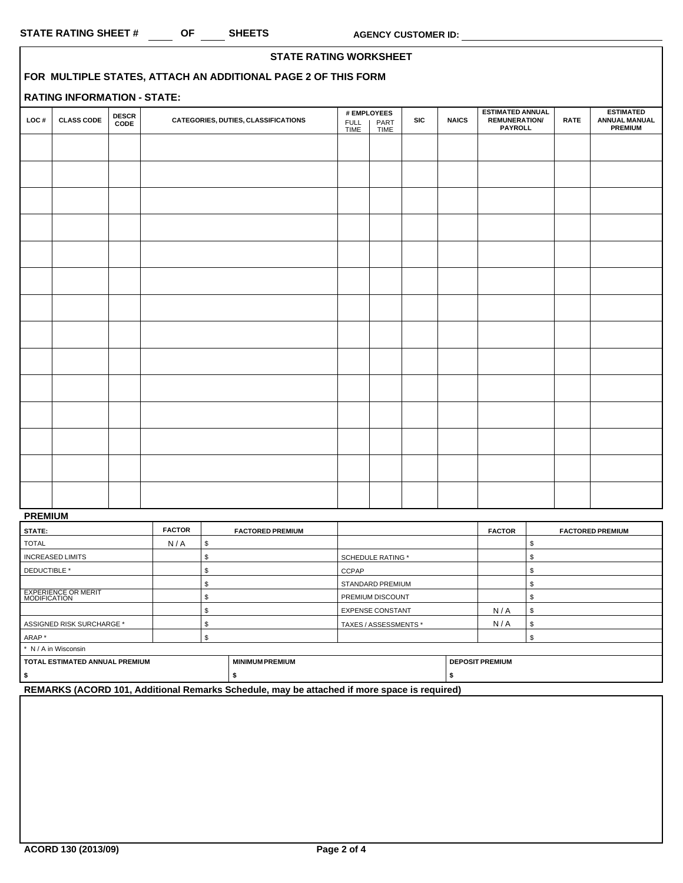|      |                                                               |                      | <b>STATE RATING WORKSHEET</b>       |              |                                    |            |              |                                                                   |             |                                                            |
|------|---------------------------------------------------------------|----------------------|-------------------------------------|--------------|------------------------------------|------------|--------------|-------------------------------------------------------------------|-------------|------------------------------------------------------------|
|      | FOR MULTIPLE STATES, ATTACH AN ADDITIONAL PAGE 2 OF THIS FORM |                      |                                     |              |                                    |            |              |                                                                   |             |                                                            |
|      | <b>RATING INFORMATION - STATE:</b>                            |                      |                                     |              |                                    |            |              |                                                                   |             |                                                            |
| LOC# | <b>CLASS CODE</b>                                             | <b>DESCR</b><br>CODE | CATEGORIES, DUTIES, CLASSIFICATIONS | FULL<br>TIME | # EMPLOYEES<br>PART<br><b>TIME</b> | <b>SIC</b> | <b>NAICS</b> | <b>ESTIMATED ANNUAL</b><br><b>REMUNERATION/</b><br><b>PAYROLL</b> | <b>RATE</b> | <b>ESTIMATED</b><br><b>ANNUAL MANUAL</b><br><b>PREMIUM</b> |
|      |                                                               |                      |                                     |              |                                    |            |              |                                                                   |             |                                                            |
|      |                                                               |                      |                                     |              |                                    |            |              |                                                                   |             |                                                            |
|      |                                                               |                      |                                     |              |                                    |            |              |                                                                   |             |                                                            |
|      |                                                               |                      |                                     |              |                                    |            |              |                                                                   |             |                                                            |
|      |                                                               |                      |                                     |              |                                    |            |              |                                                                   |             |                                                            |
|      |                                                               |                      |                                     |              |                                    |            |              |                                                                   |             |                                                            |
|      |                                                               |                      |                                     |              |                                    |            |              |                                                                   |             |                                                            |
|      |                                                               |                      |                                     |              |                                    |            |              |                                                                   |             |                                                            |
|      |                                                               |                      |                                     |              |                                    |            |              |                                                                   |             |                                                            |
|      |                                                               |                      |                                     |              |                                    |            |              |                                                                   |             |                                                            |
|      |                                                               |                      |                                     |              |                                    |            |              |                                                                   |             |                                                            |
|      |                                                               |                      |                                     |              |                                    |            |              |                                                                   |             |                                                            |
|      |                                                               |                      |                                     |              |                                    |            |              |                                                                   |             |                                                            |
|      |                                                               |                      |                                     |              |                                    |            |              |                                                                   |             |                                                            |
|      |                                                               |                      |                                     |              |                                    |            |              |                                                                   |             |                                                            |
|      |                                                               |                      |                                     |              |                                    |            |              |                                                                   |             |                                                            |
|      |                                                               |                      |                                     |              |                                    |            |              |                                                                   |             |                                                            |

# **PREMIUM**

| STATE:                                            | <b>FACTOR</b> |    | <b>FACTORED PREMIUM</b> |                          | <b>FACTOR</b>          | <b>FACTORED PREMIUM</b> |  |  |
|---------------------------------------------------|---------------|----|-------------------------|--------------------------|------------------------|-------------------------|--|--|
| <b>TOTAL</b>                                      | N/A           | ъ. |                         |                          |                        |                         |  |  |
| <b>INCREASED LIMITS</b>                           |               |    |                         | <b>SCHEDULE RATING *</b> |                        |                         |  |  |
| DEDUCTIBLE *                                      |               |    |                         | <b>CCPAP</b>             |                        |                         |  |  |
|                                                   |               |    |                         | <b>STANDARD PREMIUM</b>  |                        |                         |  |  |
| <b>EXPERIENCE OR MERIT</b><br><b>MODIFICATION</b> |               |    |                         | PREMIUM DISCOUNT         |                        |                         |  |  |
|                                                   |               |    |                         | <b>EXPENSE CONSTANT</b>  | N/A                    |                         |  |  |
| ASSIGNED RISK SURCHARGE *                         |               |    | TAXES / ASSESSMENTS *   | N/A                      |                        |                         |  |  |
| ARAP*                                             |               |    |                         |                          |                        |                         |  |  |
| * N / A in Wisconsin                              |               |    |                         |                          |                        |                         |  |  |
| TOTAL ESTIMATED ANNUAL PREMIUM                    |               |    | <b>MINIMUM PREMIUM</b>  |                          | <b>DEPOSIT PREMIUM</b> |                         |  |  |
|                                                   |               |    |                         |                          |                        |                         |  |  |

**REMARKS (ACORD 101, Additional Remarks Schedule, may be attached if more space is required)**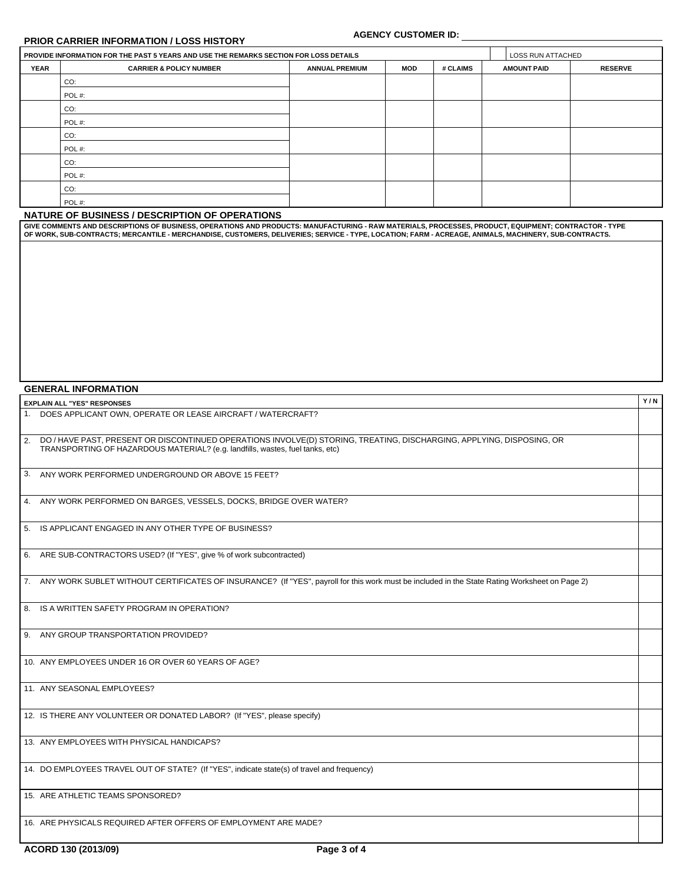## **PRIOR CARRIER INFORMATION / LOSS HISTORY**

#### **AGENCY CUSTOMER ID:**

**Y / N**

|             | PROVIDE INFORMATION FOR THE PAST 5 YEARS AND USE THE REMARKS SECTION FOR LOSS DETAILS |                       |     |          | LOSS RUN ATTACHED  |                |
|-------------|---------------------------------------------------------------------------------------|-----------------------|-----|----------|--------------------|----------------|
| <b>YEAR</b> | <b>CARRIER &amp; POLICY NUMBER</b>                                                    | <b>ANNUAL PREMIUM</b> | MOD | # CLAIMS | <b>AMOUNT PAID</b> | <b>RESERVE</b> |
|             | CO:                                                                                   |                       |     |          |                    |                |
|             | POL#:                                                                                 |                       |     |          |                    |                |
|             | CO:                                                                                   |                       |     |          |                    |                |
|             | POL#:                                                                                 |                       |     |          |                    |                |
|             | CO:                                                                                   |                       |     |          |                    |                |
|             | POL#:                                                                                 |                       |     |          |                    |                |
|             | CO:                                                                                   |                       |     |          |                    |                |
|             | POL#:                                                                                 |                       |     |          |                    |                |
|             | CO:                                                                                   |                       |     |          |                    |                |
|             | POL#:                                                                                 |                       |     |          |                    |                |

#### **NATURE OF BUSINESS / DESCRIPTION OF OPERATIONS**

GIVE COMMENTS AND DESCRIPTIONS OF BUSINESS, OPERATIONS AND PRODUCTS: MANUFACTURING - RAW MATERIALS, PROCESSES, PRODUCT, EQUIPMENT; CONTRACTOR - TYPE<br>OF WORK, SUB-CONTRACTS; MERCANTILE - MERCHANDISE, CUSTOMERS, DELIVERIES;

### **GENERAL INFORMATION**

## **EXPLAIN ALL "YES" RESPONSES**

| 1. DOES APPLICANT OWN, OPERATE OR LEASE AIRCRAFT / WATERCRAFT?                                                                                                                                            |  |
|-----------------------------------------------------------------------------------------------------------------------------------------------------------------------------------------------------------|--|
| 2. DO / HAVE PAST, PRESENT OR DISCONTINUED OPERATIONS INVOLVE(D) STORING, TREATING, DISCHARGING, APPLYING, DISPOSING, OR<br>TRANSPORTING OF HAZARDOUS MATERIAL? (e.g. landfills, wastes, fuel tanks, etc) |  |
| 3. ANY WORK PERFORMED UNDERGROUND OR ABOVE 15 FEET?                                                                                                                                                       |  |
| 4. ANY WORK PERFORMED ON BARGES, VESSELS, DOCKS, BRIDGE OVER WATER?                                                                                                                                       |  |
| 5. IS APPLICANT ENGAGED IN ANY OTHER TYPE OF BUSINESS?                                                                                                                                                    |  |
| 6. ARE SUB-CONTRACTORS USED? (If "YES", give % of work subcontracted)                                                                                                                                     |  |
| 7. ANY WORK SUBLET WITHOUT CERTIFICATES OF INSURANCE? (If "YES", payroll for this work must be included in the State Rating Worksheet on Page 2)                                                          |  |
| 8. IS A WRITTEN SAFETY PROGRAM IN OPERATION?                                                                                                                                                              |  |
| 9. ANY GROUP TRANSPORTATION PROVIDED?                                                                                                                                                                     |  |
| 10. ANY EMPLOYEES UNDER 16 OR OVER 60 YEARS OF AGE?                                                                                                                                                       |  |
| 11. ANY SEASONAL EMPLOYEES?                                                                                                                                                                               |  |
| 12. IS THERE ANY VOLUNTEER OR DONATED LABOR? (If "YES", please specify)                                                                                                                                   |  |
| 13. ANY EMPLOYEES WITH PHYSICAL HANDICAPS?                                                                                                                                                                |  |
| 14. DO EMPLOYEES TRAVEL OUT OF STATE? (If "YES", indicate state(s) of travel and frequency)                                                                                                               |  |
| 15. ARE ATHLETIC TEAMS SPONSORED?                                                                                                                                                                         |  |
| 16. ARE PHYSICALS REQUIRED AFTER OFFERS OF EMPLOYMENT ARE MADE?                                                                                                                                           |  |